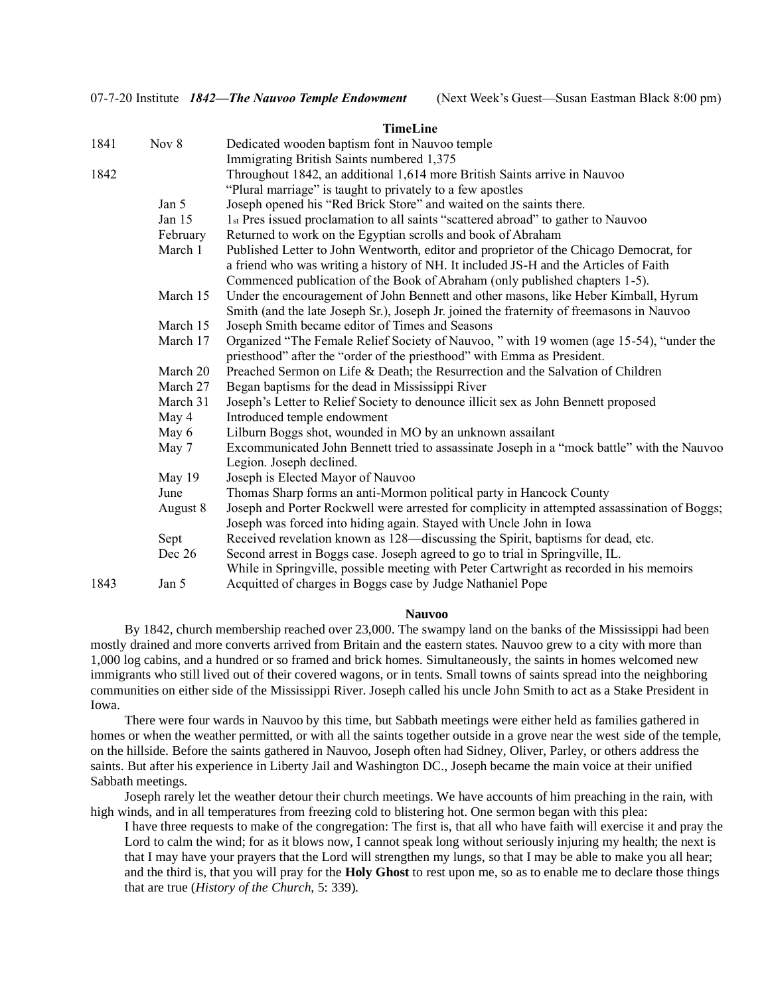#### **TimeLine**

| 1841 | Nov 8    | Dedicated wooden baptism font in Nauvoo temple                                                                                                                                 |
|------|----------|--------------------------------------------------------------------------------------------------------------------------------------------------------------------------------|
|      |          | Immigrating British Saints numbered 1,375                                                                                                                                      |
| 1842 |          | Throughout 1842, an additional 1,614 more British Saints arrive in Nauvoo                                                                                                      |
|      |          | "Plural marriage" is taught to privately to a few apostles                                                                                                                     |
|      | Jan 5    | Joseph opened his "Red Brick Store" and waited on the saints there.                                                                                                            |
|      | Jan 15   | 1st Pres issued proclamation to all saints "scattered abroad" to gather to Nauvoo                                                                                              |
|      | February | Returned to work on the Egyptian scrolls and book of Abraham                                                                                                                   |
|      | March 1  | Published Letter to John Wentworth, editor and proprietor of the Chicago Democrat, for<br>a friend who was writing a history of NH. It included JS-H and the Articles of Faith |
|      |          | Commenced publication of the Book of Abraham (only published chapters 1-5).                                                                                                    |
|      | March 15 | Under the encouragement of John Bennett and other masons, like Heber Kimball, Hyrum                                                                                            |
|      |          | Smith (and the late Joseph Sr.), Joseph Jr. joined the fraternity of freemasons in Nauvoo                                                                                      |
|      | March 15 | Joseph Smith became editor of Times and Seasons                                                                                                                                |
|      | March 17 | Organized "The Female Relief Society of Nauvoo, " with 19 women (age 15-54), "under the<br>priesthood" after the "order of the priesthood" with Emma as President.             |
|      | March 20 |                                                                                                                                                                                |
|      |          | Preached Sermon on Life & Death; the Resurrection and the Salvation of Children                                                                                                |
|      | March 27 | Began baptisms for the dead in Mississippi River                                                                                                                               |
|      | March 31 | Joseph's Letter to Relief Society to denounce illicit sex as John Bennett proposed                                                                                             |
|      | May 4    | Introduced temple endowment                                                                                                                                                    |
|      | May 6    | Lilburn Boggs shot, wounded in MO by an unknown assailant                                                                                                                      |
|      | May 7    | Excommunicated John Bennett tried to assassinate Joseph in a "mock battle" with the Nauvoo<br>Legion. Joseph declined.                                                         |
|      | May 19   | Joseph is Elected Mayor of Nauvoo                                                                                                                                              |
|      | June     | Thomas Sharp forms an anti-Mormon political party in Hancock County                                                                                                            |
|      | August 8 | Joseph and Porter Rockwell were arrested for complicity in attempted assassination of Boggs;<br>Joseph was forced into hiding again. Stayed with Uncle John in Iowa            |
|      | Sept     | Received revelation known as 128—discussing the Spirit, baptisms for dead, etc.                                                                                                |
|      | Dec 26   | Second arrest in Boggs case. Joseph agreed to go to trial in Springville, IL.<br>While in Springville, possible meeting with Peter Cartwright as recorded in his memoirs       |
| 1843 | Jan 5    | Acquitted of charges in Boggs case by Judge Nathaniel Pope                                                                                                                     |

### **Nauvoo**

By 1842, church membership reached over 23,000. The swampy land on the banks of the Mississippi had been mostly drained and more converts arrived from Britain and the eastern states. Nauvoo grew to a city with more than 1,000 log cabins, and a hundred or so framed and brick homes. Simultaneously, the saints in homes welcomed new immigrants who still lived out of their covered wagons, or in tents. Small towns of saints spread into the neighboring communities on either side of the Mississippi River. Joseph called his uncle John Smith to act as a Stake President in Iowa.

There were four wards in Nauvoo by this time, but Sabbath meetings were either held as families gathered in homes or when the weather permitted, or with all the saints together outside in a grove near the west side of the temple, on the hillside. Before the saints gathered in Nauvoo, Joseph often had Sidney, Oliver, Parley, or others address the saints. But after his experience in Liberty Jail and Washington DC., Joseph became the main voice at their unified Sabbath meetings.

Joseph rarely let the weather detour their church meetings. We have accounts of him preaching in the rain, with high winds, and in all temperatures from freezing cold to blistering hot. One sermon began with this plea:

I have three requests to make of the congregation: The first is, that all who have faith will exercise it and pray the Lord to calm the wind; for as it blows now, I cannot speak long without seriously injuring my health; the next is that I may have your prayers that the Lord will strengthen my lungs, so that I may be able to make you all hear; and the third is, that you will pray for the **Holy Ghost** to rest upon me, so as to enable me to declare those things that are true (*History of the Church*, 5: 339).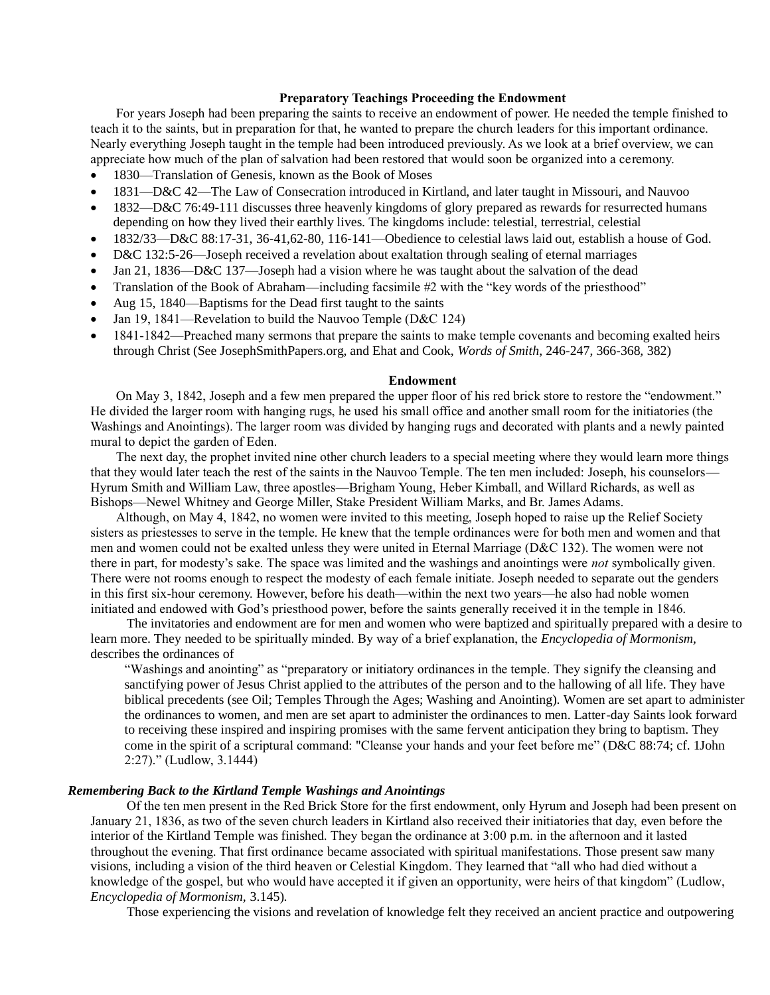## **Preparatory Teachings Proceeding the Endowment**

For years Joseph had been preparing the saints to receive an endowment of power. He needed the temple finished to teach it to the saints, but in preparation for that, he wanted to prepare the church leaders for this important ordinance. Nearly everything Joseph taught in the temple had been introduced previously. As we look at a brief overview, we can appreciate how much of the plan of salvation had been restored that would soon be organized into a ceremony.

- 1830—Translation of Genesis, known as the Book of Moses
- 1831—D&C 42—The Law of Consecration introduced in Kirtland, and later taught in Missouri, and Nauvoo
- 1832—D&C 76:49-111 discusses three heavenly kingdoms of glory prepared as rewards for resurrected humans depending on how they lived their earthly lives. The kingdoms include: telestial, terrestrial, celestial
- 1832/33—D&C 88:17-31, 36-41,62-80, 116-141—Obedience to celestial laws laid out, establish a house of God.
- D&C 132:5-26—Joseph received a revelation about exaltation through sealing of eternal marriages
- Jan 21, 1836—D&C 137—Joseph had a vision where he was taught about the salvation of the dead
- Translation of the Book of Abraham—including facsimile #2 with the "key words of the priesthood"
- Aug 15, 1840—Baptisms for the Dead first taught to the saints
- Jan 19, 1841—Revelation to build the Nauvoo Temple (D&C 124)
- 1841-1842—Preached many sermons that prepare the saints to make temple covenants and becoming exalted heirs through Christ (See JosephSmithPapers.org, and Ehat and Cook, *Words of Smith*, 246-247, 366-368*,* 382)

#### **Endowment**

On May 3, 1842, Joseph and a few men prepared the upper floor of his red brick store to restore the "endowment." He divided the larger room with hanging rugs, he used his small office and another small room for the initiatories (the Washings and Anointings). The larger room was divided by hanging rugs and decorated with plants and a newly painted mural to depict the garden of Eden.

The next day, the prophet invited nine other church leaders to a special meeting where they would learn more things that they would later teach the rest of the saints in the Nauvoo Temple. The ten men included: Joseph, his counselors— Hyrum Smith and William Law, three apostles—Brigham Young, Heber Kimball, and Willard Richards, as well as Bishops—Newel Whitney and George Miller, Stake President William Marks, and Br. James Adams.

Although, on May 4, 1842, no women were invited to this meeting, Joseph hoped to raise up the Relief Society sisters as priestesses to serve in the temple. He knew that the temple ordinances were for both men and women and that men and women could not be exalted unless they were united in Eternal Marriage (D&C 132). The women were not there in part, for modesty's sake. The space was limited and the washings and anointings were *not* symbolically given. There were not rooms enough to respect the modesty of each female initiate. Joseph needed to separate out the genders in this first six-hour ceremony. However, before his death—within the next two years—he also had noble women initiated and endowed with God's priesthood power, before the saints generally received it in the temple in 1846.

The invitatories and endowment are for men and women who were baptized and spiritually prepared with a desire to learn more. They needed to be spiritually minded. By way of a brief explanation, the *Encyclopedia of Mormonism,*  describes the ordinances of

"Washings and anointing" as "preparatory or initiatory ordinances in the temple. They signify the cleansing and sanctifying power of Jesus Christ applied to the attributes of the person and to the hallowing of all life. They have biblical precedents (see Oil; Temples Through the Ages; Washing and Anointing). Women are set apart to administer the ordinances to women, and men are set apart to administer the ordinances to men. Latter-day Saints look forward to receiving these inspired and inspiring promises with the same fervent anticipation they bring to baptism. They come in the spirit of a scriptural command: "Cleanse your hands and your feet before me" (D&C 88:74; cf. 1John 2:27)." (Ludlow, 3.1444)

### *Remembering Back to the Kirtland Temple Washings and Anointings*

Of the ten men present in the Red Brick Store for the first endowment, only Hyrum and Joseph had been present on January 21, 1836, as two of the seven church leaders in Kirtland also received their initiatories that day, even before the interior of the Kirtland Temple was finished. They began the ordinance at 3:00 p.m. in the afternoon and it lasted throughout the evening. That first ordinance became associated with spiritual manifestations. Those present saw many visions, including a vision of the third heaven or Celestial Kingdom. They learned that "all who had died without a knowledge of the gospel, but who would have accepted it if given an opportunity, were heirs of that kingdom" (Ludlow, *Encyclopedia of Mormonism,* 3.145).

Those experiencing the visions and revelation of knowledge felt they received an ancient practice and outpowering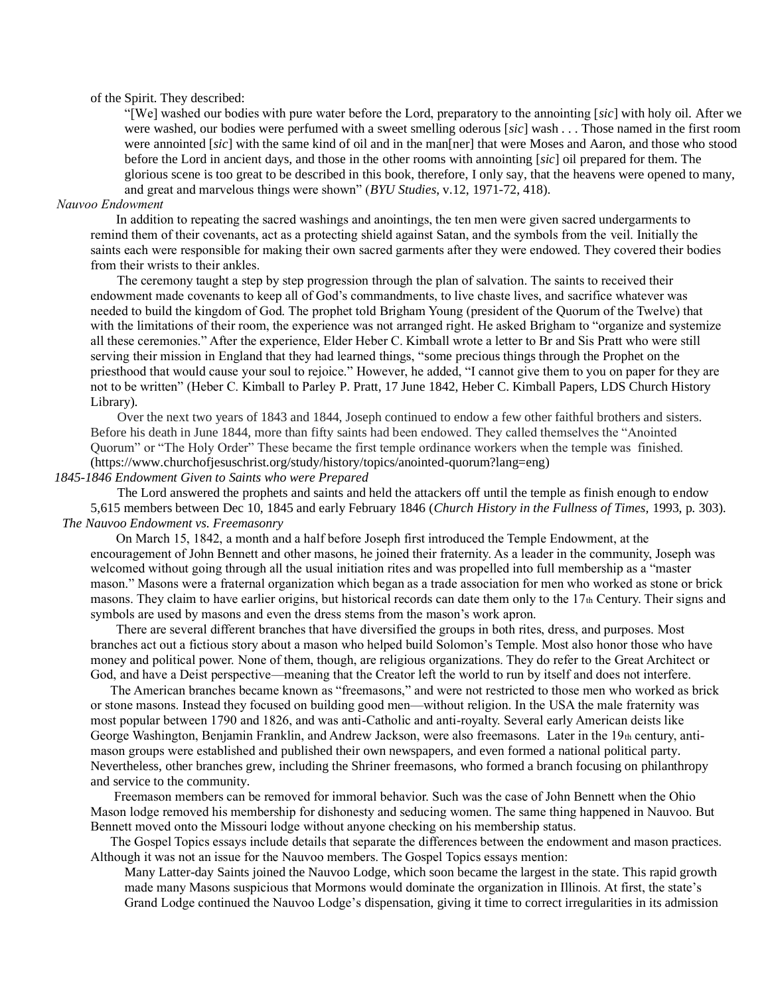of the Spirit. They described:

"[We] washed our bodies with pure water before the Lord, preparatory to the annointing [*sic*] with holy oil. After we were washed, our bodies were perfumed with a sweet smelling oderous [*sic*] wash . . . Those named in the first room were annointed [*sic*] with the same kind of oil and in the man[ner] that were Moses and Aaron, and those who stood before the Lord in ancient days, and those in the other rooms with annointing [*sic*] oil prepared for them. The glorious scene is too great to be described in this book, therefore, I only say, that the heavens were opened to many, and great and marvelous things were shown" (*BYU Studies*, v.12, 1971-72, 418).

## *Nauvoo Endowment*

In addition to repeating the sacred washings and anointings, the ten men were given sacred undergarments to remind them of their covenants, act as a protecting shield against Satan, and the symbols from the veil. Initially the saints each were responsible for making their own sacred garments after they were endowed. They covered their bodies from their wrists to their ankles.

 The ceremony taught a step by step progression through the plan of salvation. The saints to received their endowment made covenants to keep all of God's commandments, to live chaste lives, and sacrifice whatever was needed to build the kingdom of God. The prophet told Brigham Young (president of the Quorum of the Twelve) that with the limitations of their room, the experience was not arranged right. He asked Brigham to "organize and systemize all these ceremonies." After the experience, Elder Heber C. Kimball wrote a letter to Br and Sis Pratt who were still serving their mission in England that they had learned things, "some precious things through the Prophet on the priesthood that would cause your soul to rejoice." However, he added, "I cannot give them to you on paper for they are not to be written" (Heber C. Kimball to Parley P. Pratt, 17 June 1842, Heber C. Kimball Papers, LDS Church History Library).

 Over the next two years of 1843 and 1844, Joseph continued to endow a few other faithful brothers and sisters. Before his death in June 1844, more than fifty saints had been endowed. They called themselves the "Anointed Quorum" or "The Holy Order" These became the first temple ordinance workers when the temple was finished. [\(https://www.churchofjesuschrist.org/study/history/topics/anointed-quorum?lang=eng\)](https://www.churchofjesuschrist.org/study/history/topics/anointed-quorum?lang=eng)

### *1845-1846 Endowment Given to Saints who were Prepared*

 The Lord answered the prophets and saints and held the attackers off until the temple as finish enough to endow 5,615 members between Dec 10, 1845 and early February 1846 (*Church History in the Fullness of Times,* 1993, p. 303). *The Nauvoo Endowment vs. Freemasonry*

On March 15, 1842, a month and a half before Joseph first introduced the Temple Endowment, at the encouragement of John Bennett and other masons, he joined their fraternity. As a leader in the community, Joseph was welcomed without going through all the usual initiation rites and was propelled into full membership as a "master mason." Masons were a fraternal organization which began as a trade association for men who worked as stone or brick masons. They claim to have earlier origins, but historical records can date them only to the 17th Century. Their signs and symbols are used by masons and even the dress stems from the mason's work apron.

There are several different branches that have diversified the groups in both rites, dress, and purposes. Most branches act out a fictious story about a mason who helped build Solomon's Temple. Most also honor those who have money and political power. None of them, though, are religious organizations. They do refer to the Great Architect or God, and have a Deist perspective—meaning that the Creator left the world to run by itself and does not interfere.

 The American branches became known as "freemasons," and were not restricted to those men who worked as brick or stone masons. Instead they focused on building good men—without religion. In the USA the male fraternity was most popular between 1790 and 1826, and was anti-Catholic and anti-royalty. Several early American deists like George Washington, Benjamin Franklin, and Andrew Jackson, were also freemasons. Later in the 19th century, antimason groups were established and published their own newspapers, and even formed a national political party. Nevertheless, other branches grew, including the Shriner freemasons, who formed a branch focusing on philanthropy and service to the community.

 Freemason members can be removed for immoral behavior. Such was the case of John Bennett when the Ohio Mason lodge removed his membership for dishonesty and seducing women. The same thing happened in Nauvoo. But Bennett moved onto the Missouri lodge without anyone checking on his membership status.

 The Gospel Topics essays include details that separate the differences between the endowment and mason practices. Although it was not an issue for the Nauvoo members. The Gospel Topics essays mention:

Many Latter-day Saints joined the Nauvoo Lodge, which soon became the largest in the state. This rapid growth made many Masons suspicious that Mormons would dominate the organization in Illinois. At first, the state's Grand Lodge continued the Nauvoo Lodge's dispensation, giving it time to correct irregularities in its admission